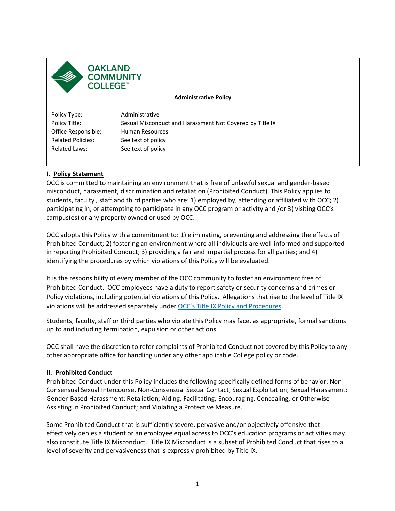

**Administrative Policy** 

Policy Title: **Related Policies: Related Laws:** Policy Type: Administrative Sexual Misconduct and Harassment Not Covered by Title IX Office Responsible: Human Resources See text of policy See text of policy

### **I. Policy Statement**

 participating in, or attempting to participate in any OCC program or activity and /or 3) visiting OCC's campus(es) or any property owned or used by OCC. OCC is committed to maintaining an environment that is free of unlawful sexual and gender-based misconduct, harassment, discrimination and retaliation (Prohibited Conduct). This Policy applies to students, faculty , staff and third parties who are: 1) employed by, attending or affiliated with OCC; 2)

 OCC adopts this Policy with a commitment to: 1) eliminating, preventing and addressing the effects of identifying the procedures by which violations of this Policy will be evaluated. Prohibited Conduct; 2) fostering an environment where all individuals are well-informed and supported in reporting Prohibited Conduct; 3) providing a fair and impartial process for all parties; and 4)

 It is the responsibility of every member of the OCC community to foster an environment free of Prohibited Conduct. OCC employees have a duty to report safety or security concerns and crimes or Policy violations, including potential violations of this Policy. Allegations that rise to the level of Title IX violations will be addressed separately under [OCC's Title IX Policy and Procedures.](https://oaklandcc.edu/policies/documents/default.aspx?file=242)

 Students, faculty, staff or third parties who violate this Policy may face, as appropriate, formal sanctions up to and including termination, expulsion or other actions.

OCC shall have the discretion to refer complaints of Prohibited Conduct not covered by this Policy to any other appropriate office for handling under any other applicable College policy or code.

### **II. Prohibited Conduct**

Prohibited Conduct under this Policy includes the following specifically defined forms of behavior: Non-Consensual Sexual Intercourse, Non-Consensual Sexual Contact; Sexual Exploitation; Sexual Harassment; Gender-Based Harassment; Retaliation; Aiding, Facilitating, Encouraging, Concealing, or Otherwise Assisting in Prohibited Conduct; and Violating a Protective Measure.

 effectively denies a student or an employee equal access to OCC's education programs or activities may level of severity and pervasiveness that is expressly prohibited by Title IX.<br> $1$ Some Prohibited Conduct that is sufficiently severe, pervasive and/or objectively offensive that also constitute Title IX Misconduct. Title IX Misconduct is a subset of Prohibited Conduct that rises to a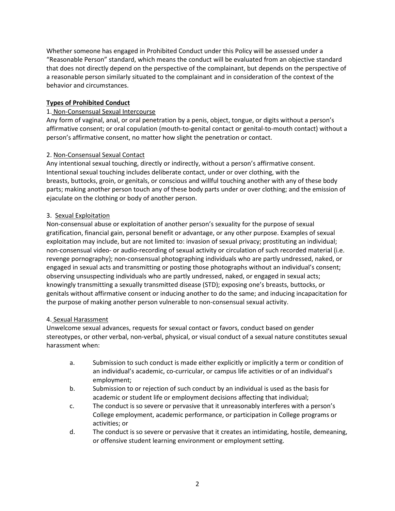Whether someone has engaged in Prohibited Conduct under this Policy will be assessed under a "Reasonable Person" standard, which means the conduct will be evaluated from an objective standard a reasonable person similarly situated to the complainant and in consideration of the context of the behavior and circumstances. that does not directly depend on the perspective of the complainant, but depends on the perspective of

### **Types of Prohibited Conduct**

### 1. Non-Consensual Sexual Intercourse

person's affirmative consent, no matter how slight the penetration or contact.<br>2. <u>Non-Consensual Sexual Contact</u> Any form of vaginal, anal, or oral penetration by a penis, object, tongue, or digits without a person's affirmative consent; or oral copulation (mouth-to-genital contact or genital-to-mouth contact) without a

 Intentional sexual touching includes deliberate contact, under or over clothing, with the breasts, buttocks, groin, or genitals, or conscious and willful touching another with any of these body parts; making another person touch any of these body parts under or over clothing; and the emission of Any intentional sexual touching, directly or indirectly, without a person's affirmative consent. ejaculate on the clothing or body of another person.

### 3. Sexual Exploitation

 gratification, financial gain, personal benefit or advantage, or any other purpose. Examples of sexual non-consensual video- or audio-recording of sexual activity or circulation of such recorded material (i.e. revenge pornography); non-consensual photographing individuals who are partly undressed, naked, or observing unsuspecting individuals who are partly undressed, naked, or engaged in sexual acts; Non-consensual abuse or exploitation of another person's sexuality for the purpose of sexual exploitation may include, but are not limited to: invasion of sexual privacy; prostituting an individual; engaged in sexual acts and transmitting or posting those photographs without an individual's consent; knowingly transmitting a sexually transmitted disease (STD); exposing one's breasts, buttocks, or genitals without affirmative consent or inducing another to do the same; and inducing incapacitation for the purpose of making another person vulnerable to non-consensual sexual activity.

### 4. Sexual Harassment

Unwelcome sexual advances, requests for sexual contact or favors, conduct based on gender stereotypes, or other verbal, non-verbal, physical, or visual conduct of a sexual nature constitutes sexual harassment when:

- a. Submission to such conduct is made either explicitly or implicitly a term or condition of an individual's academic, co-curricular, or campus life activities or of an individual's employment;
- b. Submission to or rejection of such conduct by an individual is used as the basis for academic or student life or employment decisions affecting that individual;
- c. The conduct is so severe or pervasive that it unreasonably interferes with a person's College employment, academic performance, or participation in College programs or activities; or
- d. The conduct is so severe or pervasive that it creates an intimidating, hostile, demeaning, or offensive student learning environment or employment setting.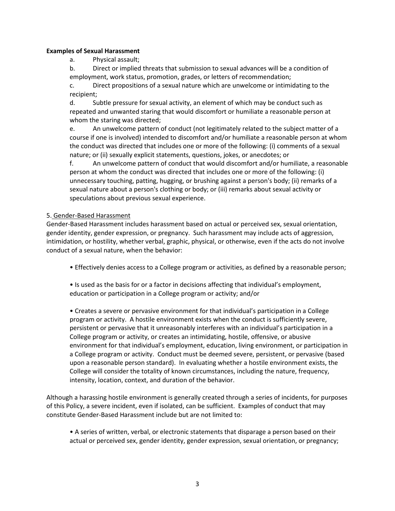### **Examples of Sexual Harassment**

a. Physical assault;

 b. Direct or implied threats that submission to sexual advances will be a condition of employment, work status, promotion, grades, or letters of recommendation;

 c. Direct propositions of a sexual nature which are unwelcome or intimidating to the recipient;

 repeated and unwanted staring that would discomfort or humiliate a reasonable person at d. Subtle pressure for sexual activity, an element of which may be conduct such as whom the staring was directed;

 e. An unwelcome pattern of conduct (not legitimately related to the subject matter of a the conduct was directed that includes one or more of the following: (i) comments of a sexual nature; or (ii) sexually explicit statements, questions, jokes, or anecdotes; or course if one is involved) intended to discomfort and/or humiliate a reasonable person at whom

 unnecessary touching, patting, hugging, or brushing against a person's body; (ii) remarks of a f. An unwelcome pattern of conduct that would discomfort and/or humiliate, a reasonable person at whom the conduct was directed that includes one or more of the following: (i) sexual nature about a person's clothing or body; or (iii) remarks about sexual activity or speculations about previous sexual experience.

### 5. Gender-Based Harassment

Gender-Based Harassment includes harassment based on actual or perceived sex, sexual orientation, gender identity, gender expression, or pregnancy. Such harassment may include acts of aggression, intimidation, or hostility, whether verbal, graphic, physical, or otherwise, even if the acts do not involve conduct of a sexual nature, when the behavior:

- Effectively denies access to a College program or activities, as defined by a reasonable person;
- Is used as the basis for or a factor in decisions affecting that individual's employment, education or participation in a College program or activity; and/or

 • Creates a severe or pervasive environment for that individual's participation in a College College will consider the totality of known circumstances, including the nature, frequency, program or activity. A hostile environment exists when the conduct is sufficiently severe, persistent or pervasive that it unreasonably interferes with an individual's participation in a College program or activity, or creates an intimidating, hostile, offensive, or abusive environment for that individual's employment, education, living environment, or participation in a College program or activity. Conduct must be deemed severe, persistent, or pervasive (based upon a reasonable person standard). In evaluating whether a hostile environment exists, the intensity, location, context, and duration of the behavior.

 of this Policy, a severe incident, even if isolated, can be sufficient. Examples of conduct that may Although a harassing hostile environment is generally created through a series of incidents, for purposes constitute Gender-Based Harassment include but are not limited to:

• A series of written, verbal, or electronic statements that disparage a person based on their actual or perceived sex, gender identity, gender expression, sexual orientation, or pregnancy;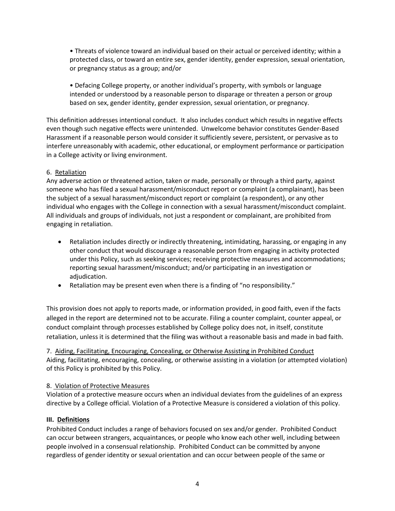• Threats of violence toward an individual based on their actual or perceived identity; within a protected class, or toward an entire sex, gender identity, gender expression, sexual orientation, or pregnancy status as a group; and/or

 • Defacing College property, or another individual's property, with symbols or language intended or understood by a reasonable person to disparage or threaten a person or group based on sex, gender identity, gender expression, sexual orientation, or pregnancy.

 even though such negative effects were unintended. Unwelcome behavior constitutes Gender-Based Harassment if a reasonable person would consider it sufficiently severe, persistent, or pervasive as to This definition addresses intentional conduct. It also includes conduct which results in negative effects interfere unreasonably with academic, other educational, or employment performance or participation in a College activity or living environment.

## 6. Retaliation

 individual who engages with the College in connection with a sexual harassment/misconduct complaint. Any adverse action or threatened action, taken or made, personally or through a third party, against someone who has filed a sexual harassment/misconduct report or complaint (a complainant), has been the subject of a sexual harassment/misconduct report or complaint (a respondent), or any other All individuals and groups of individuals, not just a respondent or complainant, are prohibited from engaging in retaliation.

- other conduct that would discourage a reasonable person from engaging in activity protected • Retaliation includes directly or indirectly threatening, intimidating, harassing, or engaging in any under this Policy, such as seeking services; receiving protective measures and accommodations; reporting sexual harassment/misconduct; and/or participating in an investigation or adjudication.
- Retaliation may be present even when there is a finding of "no responsibility."

This provision does not apply to reports made, or information provided, in good faith, even if the facts alleged in the report are determined not to be accurate. Filing a counter complaint, counter appeal, or conduct complaint through processes established by College policy does not, in itself, constitute retaliation, unless it is determined that the filing was without a reasonable basis and made in bad faith.

 Aiding, facilitating, encouraging, concealing, or otherwise assisting in a violation (or attempted violation) of this Policy is prohibited by this Policy. 7. Aiding, Facilitating, Encouraging, Concealing, or Otherwise Assisting in Prohibited Conduct

### 8. Violation of Protective Measures

8. <u>Violation of Protective Measures</u><br>Violation of a protective measure occurs when an individual deviates from the guidelines of an express directive by a College official. Violation of a Protective Measure is considered a violation of this policy.

### **III. Definitions**

 Prohibited Conduct includes a range of behaviors focused on sex and/or gender. Prohibited Conduct can occur between strangers, acquaintances, or people who know each other well, including between regardless of gender identity or sexual orientation and can occur between people of the same or people involved in a consensual relationship. Prohibited Conduct can be committed by anyone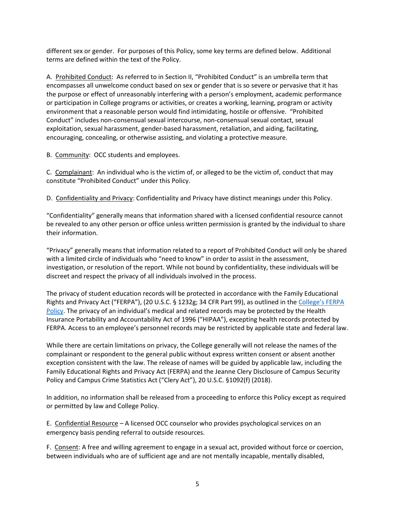different sex or gender. For purposes of this Policy, some key terms are defined below. Additional terms are defined within the text of the Policy.

A. Prohibited Conduct: As referred to in Section II, "Prohibited Conduct" is an umbrella term that encompasses all unwelcome conduct based on sex or gender that is so severe or pervasive that it has or participation in College programs or activities, or creates a working, learning, program or activity environment that a reasonable person would find intimidating, hostile or offensive. "Prohibited the purpose or effect of unreasonably interfering with a person's employment, academic performance Conduct" includes non-consensual sexual intercourse, non-consensual sexual contact, sexual exploitation, sexual harassment, gender-based harassment, retaliation, and aiding, facilitating, encouraging, concealing, or otherwise assisting, and violating a protective measure.

B. Community: OCC students and employees.

C. Complainant: An individual who is the victim of, or alleged to be the victim of, conduct that may constitute "Prohibited Conduct" under this Policy.

D. Confidentiality and Privacy: Confidentiality and Privacy have distinct meanings under this Policy.

 "Confidentiality" generally means that information shared with a licensed confidential resource cannot be revealed to any other person or office unless written permission is granted by the individual to share their information.

 "Privacy" generally means that information related to a report of Prohibited Conduct will only be shared with a limited circle of individuals who "need to know" in order to assist in the assessment, investigation, or resolution of the report. While not bound by confidentiality, these individuals will be discreet and respect the privacy of all individuals involved in the process.

 The privacy of student education records will be protected in accordance with the Family Educational Rights and Privacy Act ("FERPA"), (20 U.S.C. § 1232g; 34 CFR Part 99), as outlined in the College's FERPA [Policy.](https://www.oaklandcc.edu/college-policies/default.aspx) The privacy of an individual's medical and related records may be protected by the Health Insurance Portability and Accountability Act of 1996 ("HIPAA"), excepting health records protected by FERPA. Access to an employee's personnel records may be restricted by applicable state and federal law.

 While there are certain limitations on privacy, the College generally will not release the names of the complainant or respondent to the general public without express written consent or absent another exception consistent with the law. The release of names will be guided by applicable law, including the Family Educational Rights and Privacy Act (FERPA) and the Jeanne Clery Disclosure of Campus Security Policy and Campus Crime Statistics Act ("Clery Act"), 20 U.S.C. §1092(f) (2018).

 In addition, no information shall be released from a proceeding to enforce this Policy except as required or permitted by law and College Policy.

E. Confidential Resource - A licensed OCC counselor who provides psychological services on an emergency basis pending referral to outside resources.

F. Consent: A free and willing agreement to engage in a sexual act, provided without force or coercion, between individuals who are of sufficient age and are not mentally incapable, mentally disabled,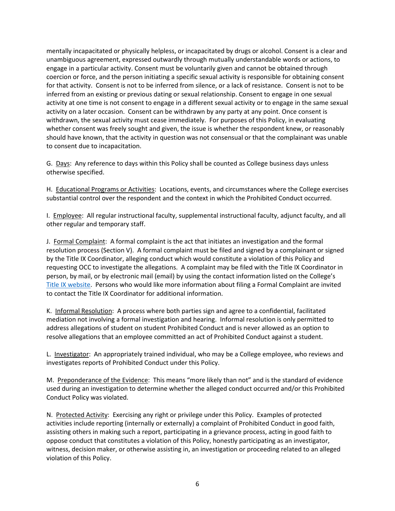engage in a particular activity. Consent must be voluntarily given and cannot be obtained through for that activity. Consent is not to be inferred from silence, or a lack of resistance. Consent is not to be activity at one time is not consent to engage in a different sexual activity or to engage in the same sexual activity on a later occasion. Consent can be withdrawn by any party at any point. Once consent is withdrawn, the sexual activity must cease immediately. For purposes of this Policy, in evaluating whether consent was freely sought and given, the issue is whether the respondent knew, or reasonably should have known, that the activity in question was not consensual or that the complainant was unable to consent due to incapacitation. mentally incapacitated or physically helpless, or incapacitated by drugs or alcohol. Consent is a clear and unambiguous agreement, expressed outwardly through mutually understandable words or actions, to coercion or force, and the person initiating a specific sexual activity is responsible for obtaining consent inferred from an existing or previous dating or sexual relationship. Consent to engage in one sexual

to consent due to incapacitation.<br>G. <u>Days</u>: Any reference to days within this Policy shall be counted as College business days unless otherwise specified.

otherwise specified.<br>H. Educational Programs or Activities: Locations, events, and circumstances where the College exercises substantial control over the respondent and the context in which the Prohibited Conduct occurred.

I. Employee: All regular instructional faculty, supplemental instructional faculty, adjunct faculty, and all other regular and temporary staff.

J. Formal Complaint: A formal complaint is the act that initiates an investigation and the formal person, by mail, or by electronic mail (email) by using the contact information listed on the College's resolution process (Section V). A formal complaint must be filed and signed by a complainant or signed by the Title IX Coordinator, alleging conduct which would constitute a violation of this Policy and requesting OCC to investigate the allegations. A complaint may be filed with the Title IX Coordinator in [Title IX website.](https://www.oaklandcc.edu/publicsafety/title-ix.aspx) Persons who would like more information about filing a Formal Complaint are invited to contact the Title IX Coordinator for additional information.

 address allegations of student on student Prohibited Conduct and is never allowed as an option to K. Informal Resolution: A process where both parties sign and agree to a confidential, facilitated mediation not involving a formal investigation and hearing. Informal resolution is only permitted to resolve allegations that an employee committed an act of Prohibited Conduct against a student.

L. Investigator: An appropriately trained individual, who may be a College employee, who reviews and investigates reports of Prohibited Conduct under this Policy.

M. Preponderance of the Evidence: This means "more likely than not" and is the standard of evidence used during an investigation to determine whether the alleged conduct occurred and/or this Prohibited Conduct Policy was violated.

N. Protected Activity: Exercising any right or privilege under this Policy. Examples of protected activities include reporting (internally or externally) a complaint of Prohibited Conduct in good faith, oppose conduct that constitutes a violation of this Policy, honestly participating as an investigator, witness, decision maker, or otherwise assisting in, an investigation or proceeding related to an alleged assisting others in making such a report, participating in a grievance process, acting in good faith to violation of this Policy.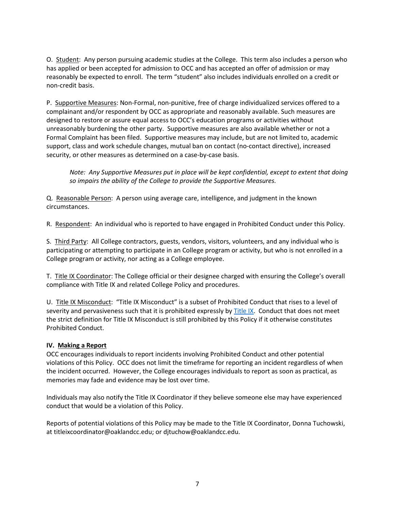O. Student: Any person pursuing academic studies at the College. This term also includes a person who has applied or been accepted for admission to OCC and has accepted an offer of admission or may reasonably be expected to enroll. The term "student" also includes individuals enrolled on a credit or non-credit basis.

P. Supportive Measures: Non-Formal, non-punitive, free of charge individualized services offered to a support, class and work schedule changes, mutual ban on contact (no-contact directive), increased complainant and/or respondent by OCC as appropriate and reasonably available. Such measures are designed to restore or assure equal access to OCC's education programs or activities without unreasonably burdening the other party. Supportive measures are also available whether or not a Formal Complaint has been filed. Supportive measures may include, but are not limited to, academic security, or other measures as determined on a case-by-case basis.

 *Note: Any Supportive Measures put in place will be kept confidential, except to extent that doing so impairs the ability of the College to provide the Supportive Measures.* 

Q. Reasonable Person: A person using average care, intelligence, and judgment in the known circumstances.

R. Respondent: An individual who is reported to have engaged in Prohibited Conduct under this Policy.

S. Third Party: All College contractors, guests, vendors, visitors, volunteers, and any individual who is participating or attempting to participate in an College program or activity, but who is not enrolled in a College program or activity, nor acting as a College employee.

T. Title IX Coordinator: The College official or their designee charged with ensuring the College's overall compliance with Title IX and related College Policy and procedures.

U. Title IX Misconduct: "Title IX Misconduct" is a subset of Prohibited Conduct that rises to a level of severity and pervasiveness such that it is prohibited expressly b[y Title IX.](https://oaklandcc.edu/policies/documents/default.aspx?file=242) Conduct that does not meet the strict definition for Title IX Misconduct is still prohibited by this Policy if it otherwise constitutes Prohibited Conduct.

### **IV. Making a Report**

 violations of this Policy. OCC does not limit the timeframe for reporting an incident regardless of when the incident occurred. However, the College encourages individuals to report as soon as practical, as memories may fade and evidence may be lost over time. OCC encourages individuals to report incidents involving Prohibited Conduct and other potential

 conduct that would be a violation of this Policy. Individuals may also notify the Title IX Coordinator if they believe someone else may have experienced

 Reports of potential violations of this Policy may be made to the Title IX Coordinator, Donna Tuchowski, at [titleixcoordinator@oaklandcc.edu;](mailto:titleixcoordinator@oaklandcc.edu) or [djtuchow@oaklandcc.edu.](mailto:djtuchow@oaklandcc.edu)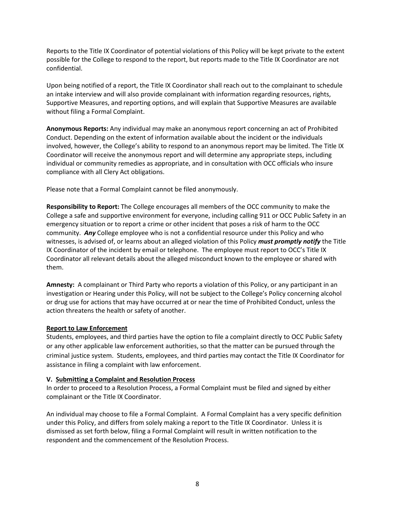Reports to the Title IX Coordinator of potential violations of this Policy will be kept private to the extent possible for the College to respond to the report, but reports made to the Title IX Coordinator are not confidential.

confidential.<br>Upon being notified of a report, the Title IX Coordinator shall reach out to the complainant to schedule Supportive Measures, and reporting options, and will explain that Supportive Measures are available an intake interview and will also provide complainant with information regarding resources, rights, without filing a Formal Complaint.

 **Anonymous Reports:** Any individual may make an anonymous report concerning an act of Prohibited involved, however, the College's ability to respond to an anonymous report may be limited. The Title IX individual or community remedies as appropriate, and in consultation with OCC officials who insure Conduct. Depending on the extent of information available about the incident or the individuals Coordinator will receive the anonymous report and will determine any appropriate steps, including compliance with all Clery Act obligations.

Please note that a Formal Complaint cannot be filed anonymously.

 **Responsibility to Report:** The College encourages all members of the OCC community to make the emergency situation or to report a crime or other incident that poses a risk of harm to the OCC community. *Any* College employee who is not a confidential resource under this Policy and who IX Coordinator of the incident by email or telephone. The employee must report to OCC's Title IX Coordinator all relevant details about the alleged misconduct known to the employee or shared with College a safe and supportive environment for everyone, including calling 911 or OCC Public Safety in an witnesses, is advised of, or learns about an alleged violation of this Policy *must promptly notify* the Title them.

 **Amnesty:** A complainant or Third Party who reports a violation of this Policy, or any participant in an investigation or Hearing under this Policy, will not be subject to the College's Policy concerning alcohol or drug use for actions that may have occurred at or near the time of Prohibited Conduct, unless the action threatens the health or safety of another.

### **Report to Law Enforcement**

Students, employees, and third parties have the option to file a complaint directly to OCC Public Safety or any other applicable law enforcement authorities, so that the matter can be pursued through the criminal justice system. Students, employees, and third parties may contact the Title IX Coordinator for assistance in filing a complaint with law enforcement.

### **V. Submitting a Complaint and Resolution Process**

In order to proceed to a Resolution Process, a Formal Complaint must be filed and signed by either complainant or the Title IX Coordinator.

 An individual may choose to file a Formal Complaint. A Formal Complaint has a very specific definition under this Policy, and differs from solely making a report to the Title IX Coordinator. Unless it is dismissed as set forth below, filing a Formal Complaint will result in written notification to the respondent and the commencement of the Resolution Process.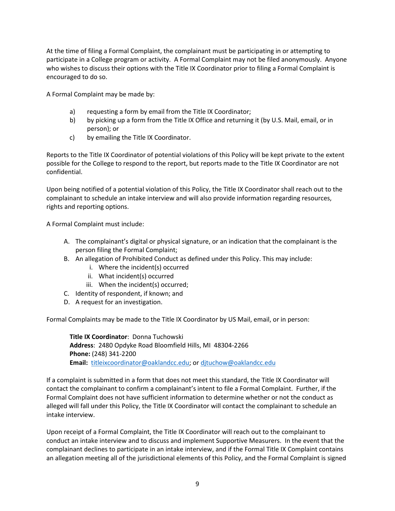At the time of filing a Formal Complaint, the complainant must be participating in or attempting to who wishes to discuss their options with the Title IX Coordinator prior to filing a Formal Complaint is encouraged to do so. participate in a College program or activity. A Formal Complaint may not be filed anonymously. Anyone

A Formal Complaint may be made by:

- a) requesting a form by email from the Title IX Coordinator;
- b) by picking up a form from the Title IX Office and returning it (by U.S. Mail, email, or in person); or
- by emailing the Title IX Coordinator.

c) by emailing the Title IX Coordinator.<br>Reports to the Title IX Coordinator of potential violations of this Policy will be kept private to the extent possible for the College to respond to the report, but reports made to the Title IX Coordinator are not confidential.

confidential.<br>Upon being notified of a potential violation of this Policy, the Title IX Coordinator shall reach out to the complainant to schedule an intake interview and will also provide information regarding resources, rights and reporting options.

A Formal Complaint must include:

- A. The complainant's digital or physical signature, or an indication that the complainant is the person filing the Formal Complaint;
- B. An allegation of [Prohibited Conduct](file://occnt.ad/occshares/legal/Title%20IX/Title%20IX%20Policy%20and%20Procedure/OCC%20Title%20IX%20Policy.docx#Prohibited) as defined under this Policy. This may include:
	- i. Where the incident(s) occurred
	- ii. What incident(s) occurred
	- iii. When the incident(s) occurred;
- C. Identity of respondent, if known; and
- D. A request for an investigation.

Formal Complaints may be made to the Title IX Coordinator by US Mail, email, or in person:

 **Address**: 2480 Opdyke Road Bloomfield Hills, MI 48304-2266 **Email:** [titleixcoordinator@oaklandcc.edu;](mailto:titleixcoordinator@oaklandcc.edu) or [djtuchow@oaklandcc.edu](mailto:djtuchow@oaklandcc.edu)  **Title IX Coordinator**: Donna Tuchowski **Phone:** (248) 341-2200

 alleged will fall under this Policy, the Title IX Coordinator will contact the complainant to schedule an If a complaint is submitted in a form that does not meet this standard, the Title IX Coordinator will contact the complainant to confirm a complainant's intent to file a Formal Complaint. Further, if the Formal Complaint does not have sufficient information to determine whether or not the conduct as intake interview.

 Upon receipt of a Formal Complaint, the Title IX Coordinator will reach out to the complainant to complainant declines to participate in an intake interview, and if the Formal Title IX Complaint contains conduct an intake interview and to discuss and implement Supportive Measurers. In the event that the an allegation meeting all of the jurisdictional elements of this Policy, and the Formal Complaint is signed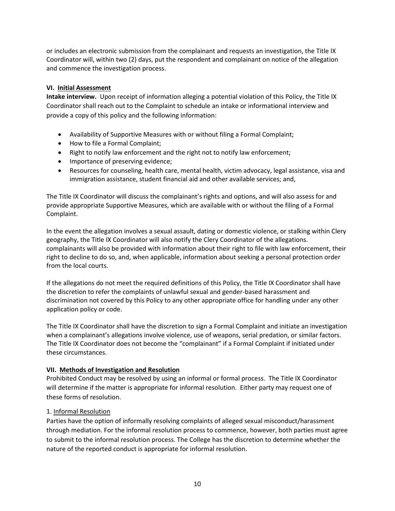or includes an electronic submission from the complainant and requests an investigation, the Title IX Coordinator will, within two (2) days, put the respondent and complainant on notice of the allegation and commence the investigation process.

### **VI. Initial Assessment**

 **Intake interview.** Upon receipt of information alleging a potential violation of this Policy, the Title IX Coordinator shall reach out to the Complaint to schedule an intake or informational interview and provide a copy of this policy and the following information:

- Availability of Supportive Measures with or without filing a Formal Complaint;
- How to file a Formal Complaint;
- Right to notify law enforcement and the right not to notify law enforcement;
- Importance of preserving evidence;
- • Resources for counseling, health care, mental health, victim advocacy, legal assistance, visa and immigration assistance, student financial aid and other available services; and,

 provide appropriate [Supportive Measures,](file://occnt.ad/occshares/legal/Title%20IX/Policy%20and%20Procedure/OCC%20Title%20IX%20Policy.docx#Supportive) which are available with or without the filing of a Formal Complaint. The Title IX Coordinator will discuss the complainant's rights and options, and will also assess for and

 geography, the Title IX Coordinator will also notify the Clery Coordinator of the allegations. right to decline to do so, and, when applicable, information about seeking a personal protection order In the event the allegation involves a sexual assault, dating or domestic violence, or stalking within Clery complainants will also be provided with information about their right to file with law enforcement, their from the local courts.

 If the allegations do not meet the required definitions of this Policy, the Title IX Coordinator shall have discrimination not covered by this Policy to any other appropriate office for handling under any other application policy or code. the discretion to refer the complaints of unlawful sexual and gender-based harassment and

when a complainant's allegations involve violence, use of weapons, serial predation, or similar factors. The Title IX Coordinator shall have the discretion to sign a Formal Complaint and initiate an investigation The Title IX Coordinator does not become the "complainant" if a Formal Complaint if initiated under these circumstances.

### **VII. Methods of Investigation and Resolution**

 will determine if the matter is appropriate for informal resolution. Either party may request one of these forms of resolution. Prohibited Conduct may be resolved by using an informal or formal process. The Title IX Coordinator

### 1. Informal Resolution

 through mediation. For the informal resolution process to commence, however, both parties must agree Parties have the option of informally resolving complaints of alleged sexual misconduct/harassment to submit to the informal resolution process. The College has the discretion to determine whether the nature of the reported conduct is appropriate for informal resolution.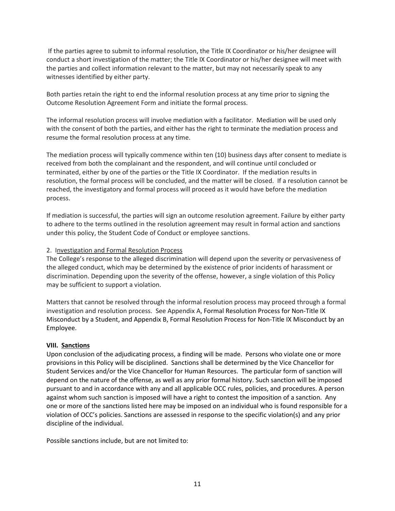If the parties agree to submit to informal resolution, the Title IX Coordinator or his/her designee will conduct a short investigation of the matter; the Title IX Coordinator or his/her designee will meet with the parties and collect information relevant to the matter, but may not necessarily speak to any witnesses identified by either party.

Both parties retain the right to end the informal resolution process at any time prior to signing the Outcome Resolution Agreement Form and initiate the formal process.

 The informal resolution process will involve mediation with a facilitator. Mediation will be used only resume the formal resolution process at any time. with the consent of both the parties, and either has the right to terminate the mediation process and

 The mediation process will typically commence within ten (10) business days after consent to mediate is received from both the complainant and the respondent, and will continue until concluded or terminated, either by one of the parties or the Title IX Coordinator. If the mediation results in reached, the investigatory and formal process will proceed as it would have before the mediation resolution, the formal process will be concluded, and the matter will be closed. If a resolution cannot be process.

 If mediation is successful, the parties will sign an outcome resolution agreement. Failure by either party to adhere to the terms outlined in the resolution agreement may result in formal action and sanctions under this policy, the Student Code of Conduct or employee sanctions.

### 2. Investigation and Formal Resolution Process

 the alleged conduct, which may be determined by the existence of prior incidents of harassment or The College's response to the alleged discrimination will depend upon the severity or pervasiveness of discrimination. Depending upon the severity of the offense, however, a single violation of this Policy may be sufficient to support a violation.

 Misconduct by a Student, and Appendix B, Formal Resolution Process for Non-Title IX Misconduct by an Matters that cannot be resolved through the informal resolution process may proceed through a formal investigation and resolution process. See Appendix A, Formal Resolution Process for Non-Title IX Employee.

### **VIII. Sanctions**

 Upon conclusion of the adjudicating process, a finding will be made. Persons who violate one or more provisions in this Policy will be disciplined. Sanctions shall be determined by the Vice Chancellor for Student Services and/or the Vice Chancellor for Human Resources. The particular form of sanction will depend on the nature of the offense, as well as any prior formal history. Such sanction will be imposed one or more of the sanctions listed here may be imposed on an individual who is found responsible for a pursuant to and in accordance with any and all applicable OCC rules, policies, and procedures. A person against whom such sanction is imposed will have a right to contest the imposition of a sanction. Any violation of OCC's policies. Sanctions are assessed in response to the specific violation(s) and any prior discipline of the individual.

Possible sanctions include, but are not limited to: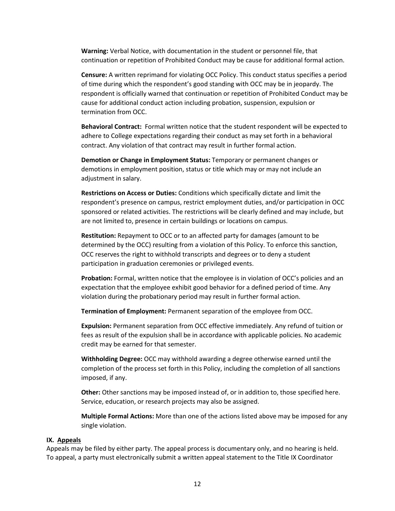continuation or repetition of Prohibited Conduct may be cause for additional formal action. **Warning:** Verbal Notice, with documentation in the student or personnel file, that

 **Censure:** A written reprimand for violating OCC Policy. This conduct status specifies a period of time during which the respondent's good standing with OCC may be in jeopardy. The respondent is officially warned that continuation or repetition of Prohibited Conduct may be cause for additional conduct action including probation, suspension, expulsion or termination from OCC.

 contract. Any violation of that contract may result in further formal action. **Behavioral Contract:** Formal written notice that the student respondent will be expected to adhere to College expectations regarding their conduct as may set forth in a behavioral

 demotions in employment position, status or title which may or may not include an **Demotion or Change in Employment Status:** Temporary or permanent changes or adjustment in salary.

 **Restrictions on Access or Duties:** Conditions which specifically dictate and limit the respondent's presence on campus, restrict employment duties, and/or participation in OCC sponsored or related activities. The restrictions will be clearly defined and may include, but are not limited to, presence in certain buildings or locations on campus.

 determined by the OCC) resulting from a violation of this Policy. To enforce this sanction, OCC reserves the right to withhold transcripts and degrees or to deny a student participation in graduation ceremonies or privileged events. **Restitution:** Repayment to OCC or to an affected party for damages (amount to be

 **Probation:** Formal, written notice that the employee is in violation of OCC's policies and an expectation that the employee exhibit good behavior for a defined period of time. Any violation during the probationary period may result in further formal action.

**Termination of Employment:** Permanent separation of the employee from OCC.

**Expulsion:** Permanent separation from OCC effective immediately. Any refund of tuition or fees as result of the expulsion shall be in accordance with applicable policies. No academic credit may be earned for that semester.

 completion of the process set forth in this Policy, including the completion of all sanctions **Withholding Degree:** OCC may withhold awarding a degree otherwise earned until the imposed, if any.

 **Other:** Other sanctions may be imposed instead of, or in addition to, those specified here. Service, education, or research projects may also be assigned.

 **Multiple Formal Actions:** More than one of the actions listed above may be imposed for any single violation.

#### **IX. Appeals**

 Appeals may be filed by either party. The appeal process is documentary only, and no hearing is held. To appeal, a party must electronically submit a written appeal statement to the Title IX Coordinator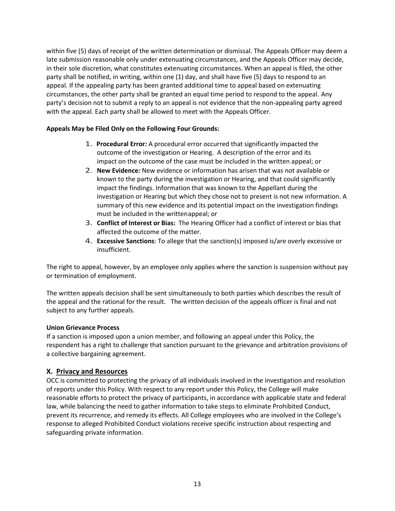within five (5) days of receipt of the written determination or dismissal. The Appeals Officer may deem a circumstances, the other party shall be granted an equal time period to respond to the appeal. Any late submission reasonable only under extenuating circumstances, and the Appeals Officer may decide, in their sole discretion, what constitutes extenuating circumstances. When an appeal is filed, the other party shall be notified, in writing, within one (1) day, and shall have five (5) days to respond to an appeal. If the appealing party has been granted additional time to appeal based on extenuating party's decision not to submit a reply to an appeal is not evidence that the non-appealing party agreed with the appeal. Each party shall be allowed to meet with the Appeals Officer.

### **Appeals May be Filed Only on the Following Four Grounds:**

- impact on the outcome of the case must be included in the written appeal; or 1. **Procedural Error***:* A procedural error occurred that significantly impacted the outcome of the investigation or Hearing. A description of the error and its
- impact the findings. Information that was known to the Appellant during the must be included in the writtenappeal; or 2. **New Evidence***:* New evidence or information has arisen that was not available or known to the party during the investigation or Hearing, and that could significantly investigation or Hearing but which they chose not to present is not new information. A summary of this new evidence and its potential impact on the investigation findings
- 3. **Conflict of Interest or Bias:** The Hearing Officer had a conflict of interest or bias that affected the outcome of the matter.
- 4. **Excessive Sanctions**: To allege that the sanction(s) imposed is/are overly excessive or insufficient.

 The right to appeal, however, by an employee only applies where the sanction is suspension without pay or termination of employment.

 The written appeals decision shall be sent simultaneously to both parties which describes the result of the appeal and the rational for the result. The written decision of the appeals officer is final and not subject to any further appeals.

### **Union Grievance Process**

If a sanction is imposed upon a union member, and following an appeal under this Policy, the respondent has a right to challenge that sanction pursuant to the grievance and arbitration provisions of a collective bargaining agreement.

### **X. Privacy and Resources**

 prevent its recurrence, and remedy its effects. All College employees who are involved in the College's OCC is committed to protecting the privacy of all individuals involved in the investigation and resolution of reports under this Policy. With respect to any report under this Policy, the College will make reasonable efforts to protect the privacy of participants, in accordance with applicable state and federal law, while balancing the need to gather information to take steps to eliminate Prohibited Conduct, response to alleged Prohibited Conduct violations receive specific instruction about respecting and safeguarding private information.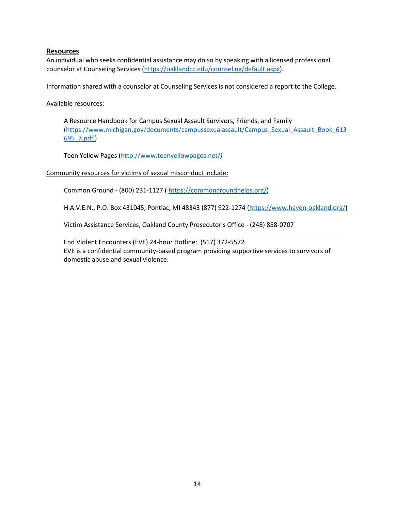### **Resources**

An individual who seeks confidential assistance may do so by speaking with a licensed professional counselor at Counseling Services [\(https://oaklandcc.edu/counseling/default.aspx\)](https://oaklandcc.edu/counseling/default.aspx).

Information shared with a counselor at Counseling Services is not considered a report to the College.

Available resources:

695\_7.pdf) A Resource Handbook for Campus Sexual Assault Survivors, Friends, and Family [\(https://www.michigan.gov/documents/campussexualassault/Campus\\_Sexual\\_Assault\\_Book\\_613](https://www.michigan.gov/documents/campussexualassault/Campus_Sexual_Assault_Book_613695_7.pdf) 

Teen Yellow Pages [\(http://www.teenyellowpages.net/](http://www.teenyellowpages.net/)*)* 

### Community resources for victims of sexual misconduct include:

Common Ground - (800) 231-1127 ( [https://commongroundhelps.org/\)](https://commongroundhelps.org/)

H.A.V.E.N., P.O. Box 431045, Pontiac, MI 48343 (877) 922-1274 [\(https://www.haven-oakland.org/\)](https://www.haven-oakland.org/)

Victim Assistance Services, Oakland County Prosecutor's Office - (248) 858-0707<br>[End Violent Encounters \(](http://www.eveinc.org/)EVE) 24-hour Hotline: (517) 372-5572 End Violent Encounters (EVE) 24-hour Hotline: (517) 372-5572 EVE is a confidential community-based program providing supportive services to survivors of domestic abuse and sexual violence.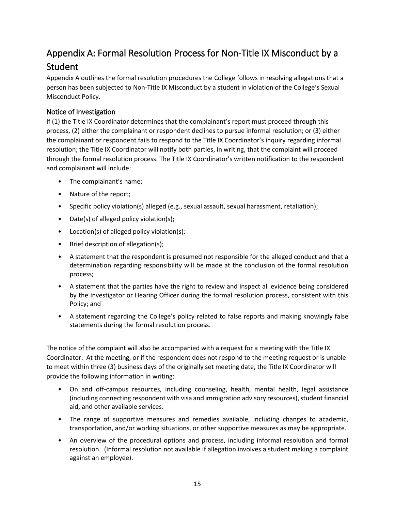# Appendix A: Formal Resolution Process for Non-Title IX Misconduct by a Student

 person has been subjected to Non-Title IX Misconduct by a student in violation of the College's Sexual Appendix A outlines the formal resolution procedures the College follows in resolving allegations that a Misconduct Policy.

# Notice of Investigation

 If (1) the Title IX Coordinator determines that the complainant's report must proceed through this process, (2) either the complainant or respondent declines to pursue informal resolution; or (3) either the complainant or respondent fails to respond to the Title IX Coordinator's inquiry regarding informal resolution; the Title IX Coordinator will notify both parties, in writing, that the complaint will proceed through the formal resolution process. The Title IX Coordinator's written notification to the respondent and complainant will include:

- The complainant's name;
- Nature of the report;
- Specific policy violation(s) alleged (e.g., sexual assault, sexual harassment, retaliation);
- Date(s) of alleged policy violation(s);
- Location(s) of alleged policy violation(s);
- Brief description of allegation(s);
- • A statement that the respondent is presumed not responsible for the alleged conduct and that a determination regarding responsibility will be made at the conclusion of the formal resolution process;
- by the Investigator or Hearing Officer during the formal resolution process, consistent with this • A statement that the parties have the right to review and inspect all evidence being considered Policy; and
- • A statement regarding the College's policy related to false reports and making knowingly false statements during the formal resolution process.

 Coordinator. At the meeting, or if the respondent does not respond to the meeting request or is unable The notice of the complaint will also be accompanied with a request for a meeting with the Title IX to meet within three (3) business days of the originally set meeting date, the Title IX Coordinator will provide the following information in writing:

- On and off-campus resources, including counseling, health, mental health, legal assistance (including connecting respondent with visa and immigration advisory resources), student financial aid, and other available services.
- transportation, and/or working situations, or other supportive measures as may be appropriate. • The range of supportive measures and remedies available, including changes to academic,
- • An overview of the procedural options and process, including informal resolution and formal resolution. (Informal resolution not available if allegation involves a student making a complaint against an employee).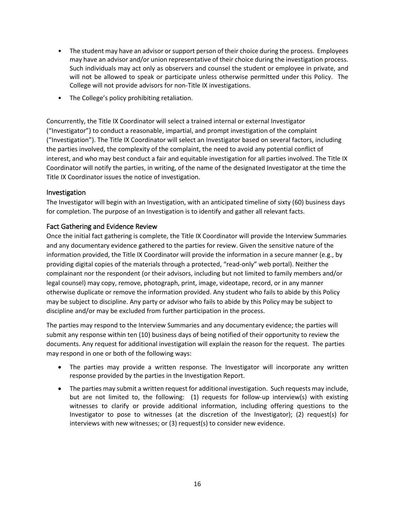- • The student may have an advisor or support person of their choice during the process. Employees may have an advisor and/or union representative of their choice during the investigation process. Such individuals may act only as observers and counsel the student or employee in private, and will not be allowed to speak or participate unless otherwise permitted under this Policy. The College will not provide advisors for non-Title IX investigations.
- The College's policy prohibiting retaliation.

 interest, and who may best conduct a fair and equitable investigation for all parties involved. The Title IX Coordinator will notify the parties, in writing, of the name of the designated Investigator at the time the Concurrently, the Title IX Coordinator will select a trained internal or external Investigator ("Investigator") to conduct a reasonable, impartial, and prompt investigation of the complaint ("Investigation"). The Title IX Coordinator will select an Investigator based on several factors, including the parties involved, the complexity of the complaint, the need to avoid any potential conflict of Title IX Coordinator issues the notice of investigation.

### Investigation

 The Investigator will begin with an Investigation, with an anticipated timeline of sixty (60) business days for completion. The purpose of an Investigation is to identify and gather all relevant facts.

### Fact Gathering and Evidence Review

 Once the initial fact gathering is complete, the Title IX Coordinator will provide the Interview Summaries otherwise duplicate or remove the information provided. Any student who fails to abide by this Policy may be subject to discipline. Any party or advisor who fails to abide by this Policy may be subject to and any documentary evidence gathered to the parties for review. Given the sensitive nature of the information provided, the Title IX Coordinator will provide the information in a secure manner (e.g., by providing digital copies of the materials through a protected, "read-only" web portal). Neither the complainant nor the respondent (or their advisors, including but not limited to family members and/or legal counsel) may copy, remove, photograph, print, image, videotape, record, or in any manner discipline and/or may be excluded from further participation in the process.

 The parties may respond to the Interview Summaries and any documentary evidence; the parties will submit any response within ten (10) business days of being notified of their opportunity to review the documents. Any request for additional investigation will explain the reason for the request. The parties may respond in one or both of the following ways:

- The parties may provide a written response. The Investigator will incorporate any written response provided by the parties in the Investigation Report.
- • The parties may submit a written request for additional investigation. Such requests may include, but are not limited to, the following: (1) requests for follow-up interview(s) with existing witnesses to clarify or provide additional information, including offering questions to the interviews with new witnesses; or (3) request(s) to consider new evidence. Investigator to pose to witnesses (at the discretion of the Investigator); (2) request(s) for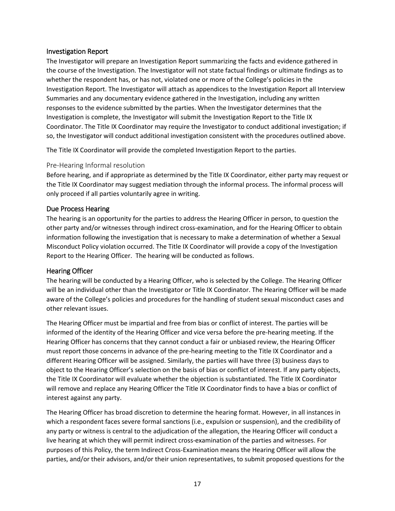### Investigation Report

 whether the respondent has, or has not, violated one or more of the College's policies in the Investigation Report. The Investigator will attach as appendices to the Investigation Report all Interview Investigation is complete, the Investigator will submit the Investigation Report to the Title IX The Investigator will prepare an Investigation Report summarizing the facts and evidence gathered in the course of the Investigation. The Investigator will not state factual findings or ultimate findings as to Summaries and any documentary evidence gathered in the Investigation, including any written responses to the evidence submitted by the parties. When the Investigator determines that the Coordinator. The Title IX Coordinator may require the Investigator to conduct additional investigation; if so, the Investigator will conduct additional investigation consistent with the procedures outlined above.

The Title IX Coordinator will provide the completed Investigation Report to the parties.

### Pre-Hearing Informal resolution

 Before hearing, and if appropriate as determined by the Title IX Coordinator, either party may request or only proceed if all parties voluntarily agree in writing. the Title IX Coordinator may suggest mediation through the informal process. The informal process will

### Due Process Hearing

 The hearing is an opportunity for the parties to address the Hearing Officer in person, to question the Misconduct Policy violation occurred. The Title IX Coordinator will provide a copy of the Investigation other party and/or witnesses through indirect cross-examination, and for the Hearing Officer to obtain information following the investigation that is necessary to make a determination of whether a Sexual Report to the Hearing Officer. The hearing will be conducted as follows.

### Hearing Officer

 will be an individual other than the Investigator or Title IX Coordinator. The Hearing Officer will be made The hearing will be conducted by a Hearing Officer, who is selected by the College. The Hearing Officer aware of the College's policies and procedures for the handling of student sexual misconduct cases and other relevant issues.

 The Hearing Officer must be impartial and free from bias or conflict of interest. The parties will be Hearing Officer has concerns that they cannot conduct a fair or unbiased review, the Hearing Officer object to the Hearing Officer's selection on the basis of bias or conflict of interest. If any party objects, will remove and replace any Hearing Officer the Title IX Coordinator finds to have a bias or conflict of informed of the identity of the Hearing Officer and vice versa before the pre-hearing meeting. If the must report those concerns in advance of the pre-hearing meeting to the Title IX Coordinator and a different Hearing Officer will be assigned. Similarly, the parties will have three (3) business days to the Title IX Coordinator will evaluate whether the objection is substantiated. The Title IX Coordinator interest against any party.

 which a respondent faces severe formal sanctions (i.e., expulsion or suspension), and the credibility of live hearing at which they will permit indirect cross-examination of the parties and witnesses. For The Hearing Officer has broad discretion to determine the hearing format. However, in all instances in any party or witness is central to the adjudication of the allegation, the Hearing Officer will conduct a purposes of this Policy, the term Indirect Cross-Examination means the Hearing Officer will allow the parties, and/or their advisors, and/or their union representatives, to submit proposed questions for the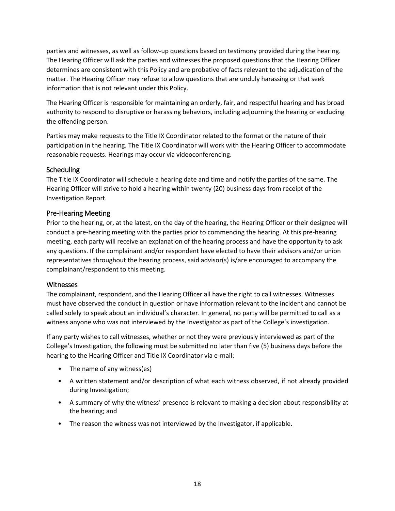determines are consistent with this Policy and are probative of facts relevant to the adjudication of the parties and witnesses, as well as follow-up questions based on testimony provided during the hearing. The Hearing Officer will ask the parties and witnesses the proposed questions that the Hearing Officer matter. The Hearing Officer may refuse to allow questions that are unduly harassing or that seek information that is not relevant under this Policy.

 authority to respond to disruptive or harassing behaviors, including adjourning the hearing or excluding The Hearing Officer is responsible for maintaining an orderly, fair, and respectful hearing and has broad the offending person.

Parties may make requests to the Title IX Coordinator related to the format or the nature of their participation in the hearing. The Title IX Coordinator will work with the Hearing Officer to accommodate reasonable requests. Hearings may occur via videoconferencing.

### Scheduling

 Hearing Officer will strive to hold a hearing within twenty (20) business days from receipt of the The Title IX Coordinator will schedule a hearing date and time and notify the parties of the same. The Investigation Report.

## Pre-Hearing Meeting

 Prior to the hearing, or, at the latest, on the day of the hearing, the Hearing Officer or their designee will any questions. If the complainant and/or respondent have elected to have their advisors and/or union complainant/respondent to this meeting. conduct a pre-hearing meeting with the parties prior to commencing the hearing. At this pre-hearing meeting, each party will receive an explanation of the hearing process and have the opportunity to ask representatives throughout the hearing process, said advisor(s) is/are encouraged to accompany the

### **Witnesses**

 The complainant, respondent, and the Hearing Officer all have the right to call witnesses. Witnesses must have observed the conduct in question or have information relevant to the incident and cannot be called solely to speak about an individual's character. In general, no party will be permitted to call as a witness anyone who was not interviewed by the Investigator as part of the College's investigation.

 If any party wishes to call witnesses, whether or not they were previously interviewed as part of the College's Investigation, the following must be submitted no later than five (5) business days before the hearing to the Hearing Officer and Title IX Coordinator via e-mail:

- The name of any witness(es)
- • A written statement and/or description of what each witness observed, if not already provided during Investigation;
- • A summary of why the witness' presence is relevant to making a decision about responsibility at the hearing; and
- The reason the witness was not interviewed by the Investigator, if applicable.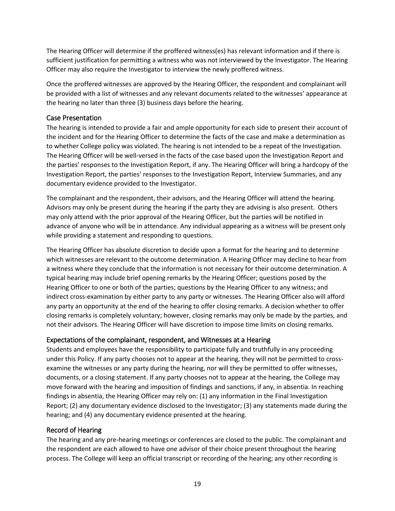sufficient justification for permitting a witness who was not interviewed by the Investigator. The Hearing The Hearing Officer will determine if the proffered witness(es) has relevant information and if there is Officer may also require the Investigator to interview the newly proffered witness.

Once the proffered witnesses are approved by the Hearing Officer, the respondent and complainant will be provided with a list of witnesses and any relevant documents related to the witnesses' appearance at the hearing no later than three (3) business days before the hearing.

### Case Presentation

 the incident and for the Hearing Officer to determine the facts of the case and make a determination as to whether College policy was violated. The hearing is not intended to be a repeat of the Investigation. The Hearing Officer will be well-versed in the facts of the case based upon the Investigation Report and The hearing is intended to provide a fair and ample opportunity for each side to present their account of the parties' responses to the Investigation Report, if any. The Hearing Officer will bring a hardcopy of the Investigation Report, the parties' responses to the Investigation Report, Interview Summaries, and any documentary evidence provided to the Investigator.

 The complainant and the respondent, their advisors, and the Hearing Officer will attend the hearing. Advisors may only be present during the hearing if the party they are advising is also present. Others advance of anyone who will be in attendance. Any individual appearing as a witness will be present only may only attend with the prior approval of the Hearing Officer, but the parties will be notified in while providing a statement and responding to questions.

 Hearing Officer to one or both of the parties; questions by the Hearing Officer to any witness; and indirect cross-examination by either party to any party or witnesses. The Hearing Officer also will afford closing remarks is completely voluntary; however, closing remarks may only be made by the parties, and not their advisors. The Hearing Officer will have discretion to impose time limits on closing remarks. The Hearing Officer has absolute discretion to decide upon a format for the hearing and to determine which witnesses are relevant to the outcome determination. A Hearing Officer may decline to hear from a witness where they conclude that the information is not necessary for their outcome determination. A typical hearing may include brief opening remarks by the Hearing Officer; questions posed by the any party an opportunity at the end of the hearing to offer closing remarks. A decision whether to offer

# Expectations of the complainant, respondent, and Witnesses at a Hearing

 examine the witnesses or any party during the hearing, nor will they be permitted to offer witnesses, findings in absentia, the Hearing Officer may rely on: (1) any information in the Final Investigation Report; (2) any documentary evidence disclosed to the Investigator; (3) any statements made during the Students and employees have the responsibility to participate fully and truthfully in any proceeding under this Policy. If any party chooses not to appear at the hearing, they will not be permitted to crossdocuments, or a closing statement. If any party chooses not to appear at the hearing, the College may move forward with the hearing and imposition of findings and sanctions, if any, in absentia. In reaching hearing; and (4) any documentary evidence presented at the hearing.

# Record of Hearing

 The hearing and any pre-hearing meetings or conferences are closed to the public. The complainant and process. The College will keep an official transcript or recording of the hearing; any other recording is the respondent are each allowed to have one advisor of their choice present throughout the hearing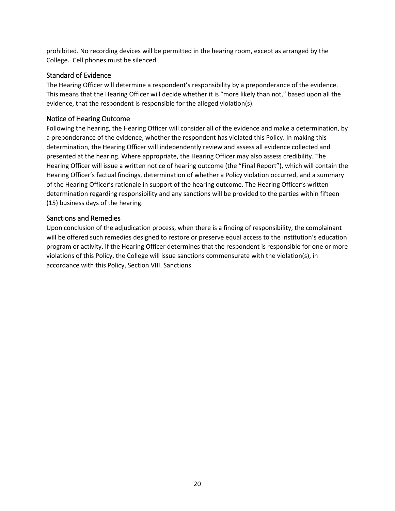prohibited. No recording devices will be permitted in the hearing room, except as arranged by the College. Cell phones must be silenced.

### Standard of Evidence

The Hearing Officer will determine a respondent's responsibility by a preponderance of the evidence. This means that the Hearing Officer will decide whether it is "more likely than not," based upon all the evidence, that the respondent is responsible for the alleged violation(s).

### Notice of Hearing Outcome

 Hearing Officer will issue a written notice of hearing outcome (the "Final Report"), which will contain the determination regarding responsibility and any sanctions will be provided to the parties within fifteen Following the hearing, the Hearing Officer will consider all of the evidence and make a determination, by a preponderance of the evidence, whether the respondent has violated this Policy. In making this determination, the Hearing Officer will independently review and assess all evidence collected and presented at the hearing. Where appropriate, the Hearing Officer may also assess credibility. The Hearing Officer's factual findings, determination of whether a Policy violation occurred, and a summary of the Hearing Officer's rationale in support of the hearing outcome. The Hearing Officer's written (15) business days of the hearing.

### Sanctions and Remedies

 Upon conclusion of the adjudication process, when there is a finding of responsibility, the complainant program or activity. If the Hearing Officer determines that the respondent is responsible for one or more violations of this Policy, the College will issue sanctions commensurate with the violation(s), in will be offered such remedies designed to restore or preserve equal access to the institution's education accordance with this Policy, Section VIII. Sanctions.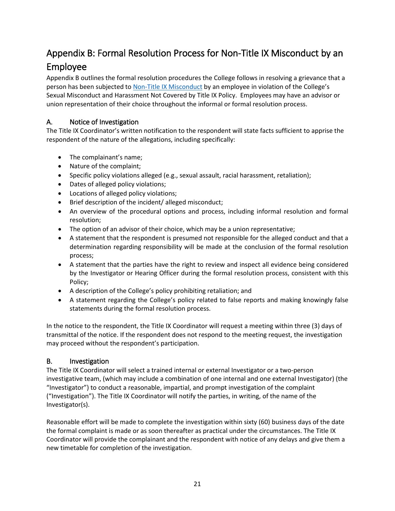# Appendix B: Formal Resolution Process for Non-Title IX Misconduct by an Employee

Appendix B outlines the formal resolution procedures the College follows in resolving a grievance that a person has been subjected to [Non-Title IX Misconduct](file://occnt.ad/occshares/legal/Title%20IX/Occidental.docx#_Non-Title_IX_Misconduct) by an employee in violation of the College's Sexual Misconduct and Harassment Not Covered by Title IX Policy. Employees may have an advisor or union representation of their choice throughout the informal or formal resolution process.

# A. Notice of Investigation

The Title IX Coordinator's written notification to the respondent will state facts sufficient to apprise the respondent of the nature of the allegations, including specifically:

- The complainant's name;
- Nature of the complaint;
- Specific policy violations alleged (e.g., sexual assault, racial harassment, retaliation);
- Dates of alleged policy violations;
- Locations of alleged policy violations;
- Brief description of the incident/ alleged misconduct;
- • An overview of the procedural options and process, including informal resolution and formal resolution;
- The option of an advisor of their choice, which may be a union representative;
- • A statement that the respondent is presumed not responsible for the alleged conduct and that a determination regarding responsibility will be made at the conclusion of the formal resolution process;
- by the Investigator or Hearing Officer during the formal resolution process, consistent with this • A statement that the parties have the right to review and inspect all evidence being considered Policy;
- A description of the College's policy prohibiting retaliation; and
- • A statement regarding the College's policy related to false reports and making knowingly false statements during the formal resolution process.

In the notice to the respondent, the Title IX Coordinator will request a meeting within three (3) days of transmittal of the notice. If the respondent does not respond to the meeting request, the investigation may proceed without the respondent's participation.

# B. Investigation

 investigative team, (which may include a combination of one internal and one external Investigator) (the ("Investigation"). The Title IX Coordinator will notify the parties, in writing, of the name of the The Title IX Coordinator will select a trained internal or external Investigator or a two-person "Investigator") to conduct a reasonable, impartial, and prompt investigation of the complaint Investigator(s).

Reasonable effort will be made to complete the investigation within sixty (60) business days of the date the formal complaint is made or as soon thereafter as practical under the circumstances. The Title IX Coordinator will provide the complainant and the respondent with notice of any delays and give them a new timetable for completion of the investigation.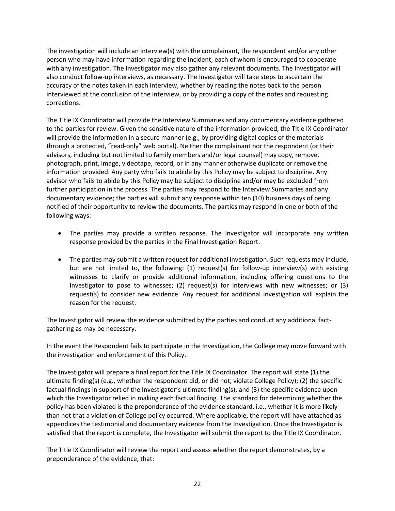The investigation will include an interview(s) with the complainant, the respondent and/or any other person who may have information regarding the incident, each of whom is encouraged to cooperate also conduct follow-up interviews, as necessary. The Investigator will take steps to ascertain the interviewed at the conclusion of the interview, or by providing a copy of the notes and requesting with any investigation. The Investigator may also gather any relevant documents. The Investigator will accuracy of the notes taken in each interview, whether by reading the notes back to the person corrections.

 will provide the information in a secure manner (e.g., by providing digital copies of the materials through a protected, "read-only" web portal). Neither the complainant nor the respondent (or their advisors, including but not limited to family members and/or legal counsel) may copy, remove, photograph, print, image, videotape, record, or in any manner otherwise duplicate or remove the information provided. Any party who fails to abide by this Policy may be subject to discipline. Any further participation in the process. The parties may respond to the Interview Summaries and any The Title IX Coordinator will provide the Interview Summaries and any documentary evidence gathered to the parties for review. Given the sensitive nature of the information provided, the Title IX Coordinator advisor who fails to abide by this Policy may be subject to discipline and/or may be excluded from documentary evidence; the parties will submit any response within ten (10) business days of being notified of their opportunity to review the documents. The parties may respond in one or both of the following ways:

- The parties may provide a written response. The Investigator will incorporate any written response provided by the parties in the Final Investigation Report.
- • The parties may submit a written request for additional investigation. Such requests may include, but are not limited to, the following: (1) request(s) for follow-up interview(s) with existing witnesses to clarify or provide additional information, including offering questions to the Investigator to pose to witnesses; (2) request(s) for interviews with new witnesses; or (3) request(s) to consider new evidence. Any request for additional investigation will explain the reason for the request.

 The Investigator will review the evidence submitted by the parties and conduct any additional factgathering as may be necessary.

In the event the Respondent fails to participate in the Investigation, the College may move forward with the investigation and enforcement of this Policy.

 The Investigator will prepare a final report for the Title IX Coordinator. The report will state (1) the policy has been violated is the preponderance of the evidence standard, i.e., whether it is more likely than not that a violation of College policy occurred. Where applicable, the report will have attached as satisfied that the report is complete, the Investigator will submit the report to the Title IX Coordinator. ultimate finding(s) (e.g., whether the respondent did, or did not, violate College Policy); (2) the specific factual findings in support of the Investigator's ultimate finding(s); and (3) the specific evidence upon which the Investigator relied in making each factual finding. The standard for determining whether the appendices the testimonial and documentary evidence from the Investigation. Once the Investigator is

 preponderance of the evidence, that: The Title IX Coordinator will review the report and assess whether the report demonstrates, by a